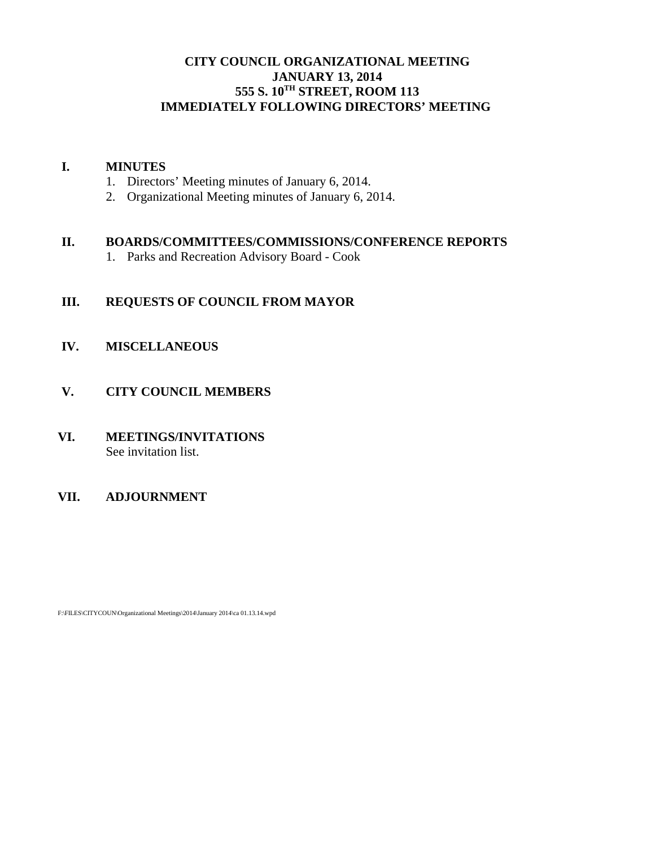# **CITY COUNCIL ORGANIZATIONAL MEETING JANUARY 13, 2014 555 S. 10TH STREET, ROOM 113 IMMEDIATELY FOLLOWING DIRECTORS' MEETING**

# **I. MINUTES**

- 1. Directors' Meeting minutes of January 6, 2014.
- 2. Organizational Meeting minutes of January 6, 2014.

## **II. BOARDS/COMMITTEES/COMMISSIONS/CONFERENCE REPORTS**

1. Parks and Recreation Advisory Board - Cook

# **III. REQUESTS OF COUNCIL FROM MAYOR**

- **IV. MISCELLANEOUS**
- **V. CITY COUNCIL MEMBERS**
- **VI. MEETINGS/INVITATIONS** See invitation list.

# **VII. ADJOURNMENT**

F:\FILES\CITYCOUN\Organizational Meetings\2014\January 2014\ca 01.13.14.wpd